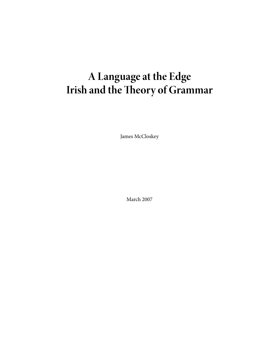# **A Language at the Edge Irish and the Theory of Grammar**

James McCloskey

March 2007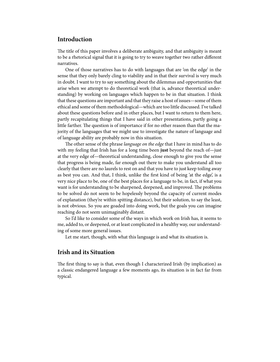## **Introduction**

The title of this paper involves a deliberate ambiguity, and that ambiguity is meant to be a rhetorical signal that it is going to try to weave together two rather different narratives.

One of those narratives has to do with languages that are 'on the edge' in the sense that they only barely cling to viability and in that their survival is very much in doubt. I want to try to say something about the dilemmas and opportunities that arise when we attempt to do theoretical work (that is, advance theoretical understanding) by working on languages which happen to be in that situation. I think that these questions are important and that they raise a host of issues—some of them ethical and some of them methodological—which are too little discussed. I've talked about these questions before and in other places, but I want to return to them here, partly recapitulating things that I have said in other presentations, partly going a little farther. The question is of importance if for no other reason than that the majority of the languages that we might use to investigate the nature of language and of language ability are probably now in this situation.

The other sense of the phrase *language on the edge* that I have in mind has to do with my feeling that Irish has for a long time been **just** beyond the reach of—just at the very edge of—theoretical understanding, close enough to give you the sense that progress is being made, far enough out there to make you understand all too clearly that there are no laurels to rest on and that you have to just keep toiling away as best you can. And that, I think, unlike the first kind of being 'at the edge', is a very nice place to be, one of the best places for a language to be, in fact, if what you want is for understanding to be sharpened, deepened, and improved. The problems to be solved do not seem to be hopelessly beyond the capacity of current modes of explanation (they're within spitting distance), but their solution, to say the least, is not obvious. So you are goaded into doing work, but the goals you can imagine reaching do not seem unimaginably distant.

So I'd like to consider some of the ways in which work on Irish has, it seems to me, added to, or deepened, or at least complicated in a healthy way, our understanding of some more general issues.

Let me start, though, with what this language is and what its situation is.

## **Irish and its Situation**

The first thing to say is that, even though I characterized Irish (by implication) as a classic endangered language a few moments ago, its situation is in fact far from typical.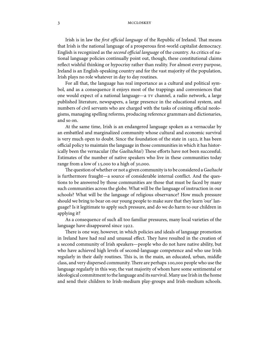Irish is in law the first official language of the Republic of Ireland. That means that Irish is the national language of a prosperous first-world capitalist democracy. English is recognized as the second official language of the country. As critics of national language policies continually point out, though, these constitutional claims reflect wishful thinking or hypocrisy rather than reality. For almost every purpose, Ireland is an English-speaking country and for the vast majority of the population, Irish plays no role whatever in day to day routines.

For all that, the language has real importance as a cultural and political symbol, and as a consequence it enjoys most of the trappings and conveniences that one would expect of a national language—a TV channel, a radio network, a large published literature, newspapers, a large presence in the educational system, and numbers of civil servants who are charged with the tasks of coining official neologisms, managing spelling reforms, producing reference grammars and dictionaries, and so on.

At the same time, Irish is an endangered language spoken as a vernacular by an embattled and marginalized community whose cultural and economic survival is very much open to doubt. Since the foundation of the state in  $1922$ , it has been official policy to maintain the language in those communities in which it has historically been the vernacular (the Gaeltachtaí) These efforts have not been successful. Estimates of the number of native speakers who live in these communities today range from a low of  $15,000$  to a high of  $30,000$ .

The question of whether or not a given community is to be considered a Gaeltacht is furthermore fraught—a source of considerable internal conflict. And the questions to be answered by those communities are those that must be faced by many such communities across the globe. What will be the language of instruction in our schools? What will be the language of religious observance? How much pressure should we bring to bear on our young people to make sure that they learn 'our' language? Is it legitimate to apply such pressure, and do we do harm to our children in applying it?

As a consequence of such all too familiar pressures, many local varieties of the language have disappeared since 1922.

There is one way, however, in which policies and ideals of language promotion in Ireland have had real and unusual effect. They have resulted in the creation of a second community of Irish speakers—people who do not have native ability, but who have achieved high levels of second-language competence and who use Irish regularly in their daily routines. This is, in the main, an educated, urban, middle class, and very dispersed community. There are perhaps 100,000 people who use the language regularly in this way, the vast majority of whom have some sentimental or ideological commitment to the language and its survival. Many use Irish in the home and send their children to Irish-medium play-groups and Irish-medium schools.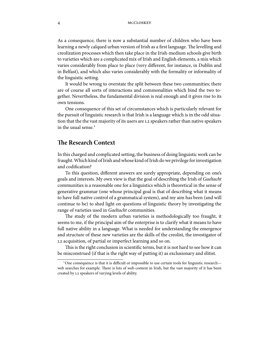As a consequence, there is now a substantial number of children who have been learning a newly calqued urban version of Irish as a first language. The levelling and creolization processes which then take place in the Irish-medium schools give birth to varieties which are a complicated mix of Irish and English elements, a mix which varies considerably from place to place (very different, for instance, in Dublin and in Belfast), and which also varies considerably with the formality or informality of the linguistic setting.

It would be wrong to overstate the split between these two communities; there are of course all sorts of interactions and commonalities which bind the two together. Nevertheless, the fundamental division is real enough and it gives rise to its own tensions.

One consequence of this set of circumstances which is particularly relevant for the pursuit of linguistic research is that Irish is a language which is in the odd situation that the the vast majority of its users are L2 speakers rather than native speakers in the usual sense.

## **e Research Context**

In this charged and complicated setting, the business of doing linguistic work can be fraught.Which kind of Irish and whose kind of Irish do we privilege for investigation and codification?

To this question, different answers are surely appropriate, depending on one's goals and interests. My own view is that the goal of describing the Irish of Gaeltacht communities is a reasonable one for a linguistics which is theoretical in the sense of generative grammar (one whose principal goal is that of describing what it means to have full native control of a grammatical system), and my aim has been (and will continue to be) to shed light on questions of linguistic theory by investigating the range of varieties used in Gaeltacht communities.

The study of the modern urban varieties is methodologically too fraught, it seems to me, if the principal aim of the enterprise is to clarify what it means to have full native ability in a language. What is needed for understanding the emergence and structure of these new varieties are the skills of the creolist, the investigator of L2 acquisition, of partial or imperfect learning and so on.

This is the right conclusion in scientific terms, but it is not hard to see how it can be misconstrued (if that is the right way of putting it) as exclusionary and élitist.

 $^1$ One consequence is that it is difficult or impossible to use certain tools for linguistic research web searches for example. There is lots of web-content in Irish, but the vast majority of it has been created by L2 speakers of varying levels of ability.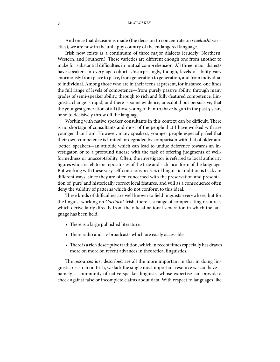And once that decision is made (the decision to concentrate on Gaeltacht varieties), we are now in the unhappy country of the endangered language.

Irish now exists as a continuum of three major dialects (crudely: Northern, Western, and Southern). These varieties are different enough one from another to make for substantial difficulties in mutual comprehension. All three major dialects have speakers in every age-cohort. Unsurprisingly, though, levels of ability vary enormously from place to place, from generation to generation, and from individual to individual. Among those who are in their teens at present, for instance, one finds the full range of levels of competence—from purely passive ability, through many grades of semi-speaker ability, through to rich and fully-featured competence. Linguistic change is rapid, and there is some evidence, anecdotal but persuasive, that the youngest generation of all (those younger than 10) have begun in the past 5 years or so to decisively throw off the language.

Working with native speaker consultants in this context can be difficult. There is no shortage of consultants and most of the people that I have worked with are younger than I am. However, many speakers, younger people especially, feel that their own competence is limited or degraded by comparison with that of older and 'better' speakers—an attitude which can lead to undue deference towards an investigator, or to a profound unease with the task of offering judgments of wellformedness or unacceptability. Often, the investigator is referred to local authority figures who are felt to be repositories of the true and rich local form of the language. But working with these very self-conscious bearers of linguistic tradition is tricky in different ways, since they are often concerned with the preservation and presentation of 'pure' and historically correct local features, and will as a consequence often deny the validity of patterns which do not conform to this ideal.

These kinds of difficulties are well known to field linguists everywhere, but for the linguist working on Gaeltacht Irish, there is a range of compensating resources which derive fairly directly from the official national veneration in which the language has been held.

- There is a large published literature.
- There radio and  $\tau v$  broadcasts which are easily accessible.
- There is a rich descriptive tradition, which in recent times especially has drawn more on more on recent advances in theoretical linguistics.

The resources just described are all the more important in that in doing linguistic research on Irish, we lack the single most important resource we can have namely, a community of native-speaker linguists, whose expertise can provide a check against false or incomplete claims about data. With respect to languages like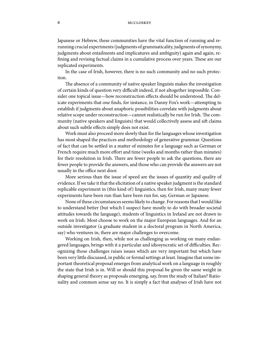Japanese or Hebrew, these communities have the vital function of running and rerunning crucial experiments (judgments of grammaticality, judgments of synonymy, judgments about entailments and implicatures and ambiguity) again and again, refining and revising factual claims in a cumulative process over years. These are our replicated experiments.

In the case of Irish, however, there is no such community and no such protection.

The absence of a community of native speaker linguists makes the investigation of certain kinds of question very difficult indeed, if not altogether impossible. Consider one topical issue—how reconstruction effects should be understood. The delicate experiments that one finds, for instance, in Danny Fox's work—attempting to establish if judgments about anaphoric possibilities correlate with judgments about relative scope under reconstruction—cannot realistically be run for Irish. The community (native speakers and linguists) that would collectively assess and sift claims about such subtle effects simply does not exist.

Work must also proceed more slowly than for the languages whose investigation has most shaped the practices and methodology of generative grammar. Questions of fact that can be settled in a matter of minutes for a language such as German or French require much more effort and time (weeks and months rather than minutes) for their resolution in Irish. There are fewer people to ask the questions, there are fewer people to provide the answers, and those who can provide the answers are not usually in the office next door.

More serious than the issue of speed are the issues of quantity and quality of evidence. If we take it that the elicitation of a native speaker judgment is the standard replicable experiment in (this kind of) linguistics, then for Irish, many many fewer experiments have been run than have been run for, say, German or Japanese.

None of these circumstances seems likely to change. For reasons that I would like to understand better (but which I suspect have mostly to do with broader societal attitudes towards the language), students of linguistics in Ireland are not drawn to work on Irish. Most choose to work on the major European languages. And for an outside investigator (a graduate student in a doctoral program in North America, say) who ventures in, there are major challenges to overcome.

Working on Irish, then, while not as challenging as working on many endangered languages, brings with it a particular and idiosyncratic set of difficulties. Recognizing those challenges raises issues which are very important but which have been very little discussed, in public or formal settings at least. Imagine that some important theoretical proposal emerges from analytical work on a language in roughly the state that Irish is in. Will or should this proposal be given the same weight in shaping general theory as proposals emerging, say, from the study of Italian? Rationality and common sense say no. It is simply a fact that analyses of Irish have not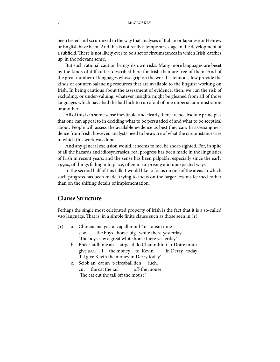been tested and scrutinized in the way that analyses of Italian or Japanese or Hebrew or English have been. And this is not really a temporary stage in the development of a subfield. There is not likely ever to be a set of circumstances in which Irish 'catches up' in the relevant sense.

But such rational caution brings its own risks. Many more languages are beset by the kinds of difficulties described here for Irish than are free of them. And of the great number of languages whose grip on the world is tenuous, few provide the kinds of counter-balancing resources that are available to the linguist working on Irish. In being cautious about the assessment of evidence, then, we run the risk of excluding, or under-valuing, whatever insights might be gleaned from all of those languages which have had the bad luck to run afoul of one imperial administration or another.

All of this is in some sense inevitable, and clearly there are no absolute principles that one can appeal to in deciding what to be persuaded of and what to be sceptical about. People will assess the available evidence as best they can. In assessing evidence from Irish, however, analysts need to be aware of what the circumstances are in which this work was done.

And any general exclusion would, it seems to me, be short-sighted. For, in spite of all the hazards and idiosyncrasies, real progress has been made in the linguistics of Irish in recent years, and the sense has been palpable, especially since the early 1990s, of things falling into place, often in surprising and unexpected ways.

In the second half of this talk, I would like to focus on one of the areas in which such progress has been made, trying to focus on the larger lessons learned rather than on the shifting details of implementation.

## **Clause Structure**

Perhaps the single most celebrated property of Irish is the fact that it is a so-called vso language. That is, in a simple finite clause such as those seen in  $(1)$ :

- () a. Chonaic na gasraí capall mór bán ansin inné saw the boys horse big white there yesterday 'The boys saw a great white horse there yesterday.'
	- b. Bhéarfaidh mé an t-airgead do Chaoimhín i nDoire inniu give **[FUT]** I the money to Kevin in Derry today 'I'll give Kevin the money in Derry today.'
	- c. Sciob an cat an t-eireaball den cut the cat the tail off-the mouse luch. 'The cat cut the tail off the mouse.'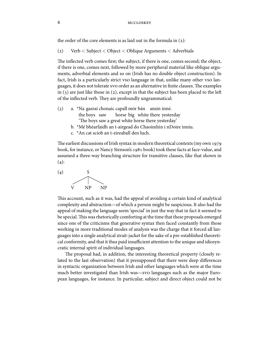the order of the core elements is as laid out in the formula in  $(2)$ :

() Verb < Subject < Object < Oblique Arguments < Adverbials

The inflected verb comes first; the subject, if there is one, comes second; the object, if there is one, comes next, followed by more peripheral material like oblique arguments, adverbial elements and so on (Irish has no double object construction). In fact, Irish is a particularly strict vso language in that, unlike many other vso languages, it does not tolerate svo order as an alternative in finite clauses. The examples in  $(3)$  are just like those in  $(2)$ , except in that the subject has been placed to the left of the inflected verb. They are profoundly ungrammatical:

- () a. \*Na gasraí chonaic capall mór bán ansin inné. the boys saw horse big white there yesterday 'The boys saw a great white horse there yesterday.'
	- b. \*Mé bhéarfaidh an t-airgead do Chaoimhín i nDoire inniu.
	- c. \*An cat sciob an t-eireaball den luch.

The earliest discussions of Irish syntax in modern theoretical contexts (my own 1979 book, for instance, or Nancy Stenson's 1981 book) took these facts at face-value, and assumed a three-way branching structure for transitive clauses, like that shown in  $(4)$ :



This account, such as it was, had the appeal of avoiding a certain kind of analytical complexity and abstraction—of which a person might be suspicious. It also had the appeal of making the language seem 'special' in just the way that in fact it seemed to be special. This was rhetorically comforting at the time that these proposals emerged since one of the criticisms that generative syntax then faced constantly from those working in more traditional modes of analysis was the charge that it forced all languages into a single analytical strait-jacket for the sake of a pre-established theoretical conformity, and that it thus paid insufficient attention to the unique and idiosyncratic internal spirit of individual languages.

The proposal had, in addition, the interesting theoretical property (closely related to the last observation) that it presupposed that there were deep differences in syntactic organization between Irish and other languages which were at the time much better investigated than Irish was—svo languages such as the major European languages, for instance. In particular, subject and direct object could not be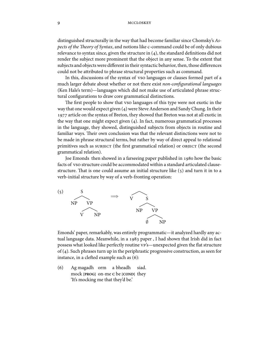distinguished structurally in the way that had become familiar since Chomsky's Aspects of the Theory of Syntax, and notions like c-command could be of only dubious relevance to syntax since, given the structure in  $(4)$ , the standard definitions did not render the subject more prominent that the object in any sense. To the extent that subjects and objects were different in their syntactic behavior, then, those differences could not be attributed to phrase structural properties such as command.

In this, discussions of the syntax of vso languages or clauses formed part of a much larger debate about whether or not there exist non-configurational languages (Ken Hale's term)—languages which did not make use of articulated phrase structural configurations to draw core grammatical distinctions.

The first people to show that vso languages of this type were not exotic in the way that one would expect given  $(4)$  were Steve Anderson and Sandy Chung. In their 1977 article on the syntax of Breton, they showed that Breton was not at all exotic in the way that one might expect given  $(4)$ . In fact, numerous grammatical processes in the language, they showed, distinguished subjects from objects in routine and familiar ways. Their own conclusion was that the relevant distinctions were not to be made in phrase structural terms, but rather by way of direct appeal to relational primitives such as SUBJECT (the first grammatical relation) or OBJECT (the second grammatical relation).

Joe Emonds then showed in a farseeing paper published in 1980 how the basic facts of vso structure could be accommodated within a standard articulated clausestructure. That is one could assume an initial structure like  $(5)$  and turn it in to a verb-initial structure by way of a verb-fronting operation:



Emonds' paper, remarkably, was entirely programmatic—it analyzed hardly any actual language data. Meanwhile, in a 1983 paper, I had shown that Irish did in fact possess what looked like perfectly routine vp's—unexpected given the flat structure of (4). Such phrases turn up in the periphrastic progressive construction, as seen for instance, in a clefted example such as (6):

() Ag magadh orm a bheadh mock **[PROG]** on-me **C** be **[COND]** they siad. 'It's mocking me that they'd be.'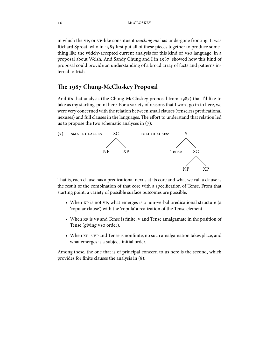in which the vp, or vp-like constituent *mocking me* has undergone fronting. It was Richard Sproat who in 1985 first put all of these pieces together to produce something like the widely-accepted current analysis for this kind of vso language, in a proposal about Welsh. And Sandy Chung and I in  $1987$  showed how this kind of proposal could provide an understanding of a broad array of facts and patterns internal to Irish.

# The 1987 Chung-McCloskey Proposal

And it's that analysis (the Chung-McCloskey proposal from 1987) that I'd like to take as my starting-point here. For a variety of reasons that I won't go in to here, we were very concerned with the relation between small clauses(tenseless predicational nexuses) and full clauses in the languages. The effort to understand that relation led us to propose the two schematic analyses in  $(7)$ :



That is, each clause has a predicational nexus at its core and what we call a clause is the result of the combination of that core with a specification of Tense. From that starting point, a variety of possible surface outcomes are possible:

- When  $xp$  is not vp, what emerges is a non-verbal predicational structure (a 'copular clause') with the 'copula' a realization of the Tense element.
- When xp is vp and Tense is finite, v and Tense amalgamate in the position of Tense (giving vso order).
- When xp is vp and Tense is nonfinite, no such amalgamation takes place, and what emerges is a subject-initial order.

Among these, the one that is of principal concern to us here is the second, which provides for finite clauses the analysis in  $(8)$ :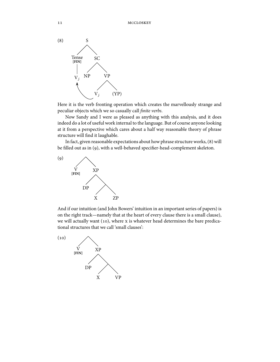

Here it is the verb fronting operation which creates the marvellously strange and peculiar objects which we so casually call finite verbs.

Now Sandy and I were as pleased as anything with this analysis, and it does indeed do a lot of useful work internal to the language. But of course anyone looking at it from a perspective which cares about a half way reasonable theory of phrase structure will find it laughable.

In fact, given reasonable expectations about how phrase structure works,  $(8)$  will be filled out as in (9), with a well-behaved specifier-head-complement skeleton.



And if our intuition (and John Bowers' intuition in an important series of papers) is on the right track—namely that at the heart of every clause there is a small clause), we will actually want (10), where  $x$  is whatever head determines the bare predicational structures that we call 'small clauses':

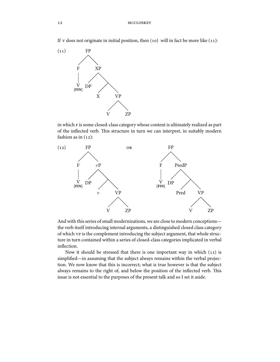If v does not originate in initial position, then  $(10)$  will in fact be more like  $(11)$ :



in which F is some closed-class category whose content is ultimately realized as part of the inflected verb. This structure in turn we can interpret, in suitably modern fashion as in  $(12)$ :



And with this series of small modernizations, we are close to modern conceptions the verb itself introducing internal arguments, a distinguished closed class category of which vp is the complement introducing the subject argument, that whole structure in turn contained within a series of closed-class categories implicated in verbal inflection.

Now it should be stressed that there is one important way in which  $(12)$  is simplified—in assuming that the subject always remains within the verbal projection. We now know that this is incorrect; what is true however is that the subject always remains to the right of, and below the position of the inflected verb. This issue is not essential to the purposes of the present talk and so I set it aside.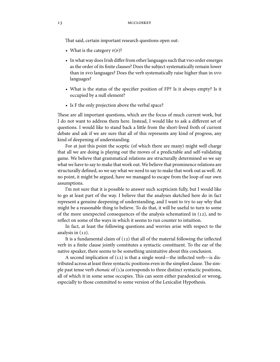That said, certain important research questions open out:

- What is the category  $F(P)$ ?
- In what way does Irish differ from other languages such that vso order emerges as the order of its finite clauses? Does the subject systematically remain lower than in svo languages? Does the verb systematically raise higher than in svo languages?
- What is the status of the specifier position of FP? Is it always empty? Is it occupied by a null element?
- Is F the only projection above the verbal space?

These are all important questions, which are the focus of much current work, but I do not want to address them here. Instead, I would like to ask a different set of questions. I would like to stand back a little from the short-lived froth of current debate and ask if we are sure that all of this represents any kind of progress, any kind of deepening of understanding.

For at just this point the sceptic (of which there are many) might well charge that all we are doing is playing out the moves of a predictable and self-validating game. We believe that grammatical relations are structurally determined so we say what we have to say to make that work out. We believe that prominence relations are structurally defined, so we say what we need to say to make that work out as well. At no point, it might be argued, have we managed to escape from the loop of our own assumptions.

I'm not sure that it is possible to answer such scepticism fully, but I would like to go at least part of the way. I believe that the analyses sketched here do in fact represent a genuine deepening of understanding, and I want to try to say why that might be a reasonable thing to believe. To do that, it will be useful to turn to some of the more unexpected consequences of the analysis schematized in  $(12)$ , and to reflect on some of the ways in which it seems to run counter to intuition.

In fact, at least the following questions and worries arise with respect to the analysis in  $(12)$ .

It is a fundamental claim of  $(12)$  that all of the material following the inflected verb in a finite clause jointly constitutes a syntactic constituent. To the ear of the native speaker, there seems to be something unintuitive about this conclusion.

A second implication of  $(12)$  is that a single word—the inflected verb—is distributed across at least three syntactic positions even in the simplest clause. The simple past tense verb *chonaic* of  $(1)$  corresponds to three distinct syntactic positions, all of which it in some sense occupies. This can seem either paradoxical or wrong, especially to those committed to some version of the Lexicalist Hypothesis.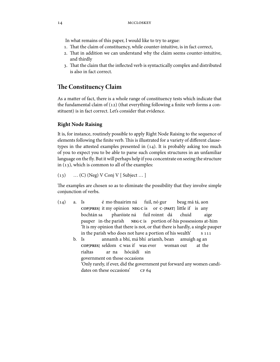In what remains of this paper, I would like to try to argue:

- 1. That the claim of constituency, while counter-intuitive, is in fact correct,
- 2. That in addition we can understand why the claim seems counter-intuitive, and thirdly
- 3. That the claim that the inflected verb is syntactically complex and distributed is also in fact correct.

# **e Constituency Claim**

As a matter of fact, there is a whole range of constituency tests which indicate that the fundamental claim of  $(12)$  (that everything following a finite verb forms a constituent) is in fact correct. Let's consider that evidence.

#### **Right Node Raising**

It is, for instance, routinely possible to apply Right Node Raising to the sequence of elements following the finite verb. This is illustrated for a variety of different clausetypes in the attested examples presented in  $(14)$ . It is probably asking too much of you to expect you to be able to parse such complex structures in an unfamiliar language on the fly. But it will perhaps help if you concentrate on seeing the structure in  $(13)$ , which is common to all of the examples:

 $(13)$  … (C) (Neg) V Conj V [ Subject … ]

The examples are chosen so as to eliminate the possibility that they involve simple conjunction of verbs.

- $(14)$  a. Is **COP[PRES]** it my opinion **NEG C** is é mo thuairim ná fuil, nó gur or **C**-**[PAST]** little if is any beag má tá, aon bochtán sa pauper in-the parish pharóiste ná **NEG C** is portion of-his possessions at-him fuil roinnt dá chuid aige 'It is my opinion that there is not, or that there is hardly, a single pauper in the parish who does not have a portion of his wealth' b. Is **COP[PRES]** seldom **C** was if was ever annamh a bhí, má bhí ariamh, bean woman out amuigh ag an at the rialtas ar na hócáidí sin
	- government on those occasions
	- 'Only rarely, if ever, did the government put forward any women candidates on these occasions' CF 64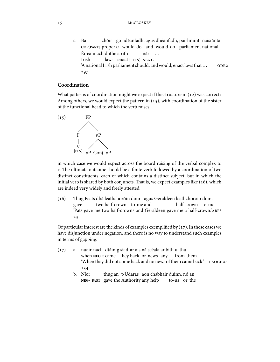c. Ba **COP[PAST]** proper **C** would-do and would-do parliament national chóir go ndéanfadh, agus dhéanfadh, pairlimint náisiúnta Éireannach dlithe a rith Irish laws enact **[**−**FIN] NEG C** nár … 'A national Irish parliament should, and would, enact laws that… 297

#### **Coordination**

What patterns of coordination might we expect if the structure in  $(12)$  was correct? Among others, we would expect the pattern in  $(15)$ , with coordination of the sister of the functional head to which the verb raises.



in which case we would expect across the board raising of the verbal complex to  $F$ . The ultimate outcome should be a finite verb followed by a coordination of two distinct constituents, each of which contains a distinct subject, but in which the initial verb is shared by both conjuncts. That is, we expect examples like  $(16)$ , which are indeed very widely and freely attested:

(16) Thug Peats dhá leathchoróin dom agus Geraldeen leathchoróin dom. gave two half-crown to-me and half-crown to-me 'Pats gave me two half-crowns and Geraldeen gave me a half-crown.'  $23$ 

Of particular interest are the kinds of examples exemplified by  $(17)$ . In these cases we have disjunction under negation, and there is no way to understand such examples in terms of gapping.

- (17) a. nuair nach dtáinig siad ar ais ná scéala ar bith uathu when NEG C came they back or news any from-them 'When they did not come back and no news of them came back.' 134
	- b. Níor **NEG**-**[PAST]** gave the Authority any help thug an t-Údarás aon chabhair dúinn, nó an to-us or the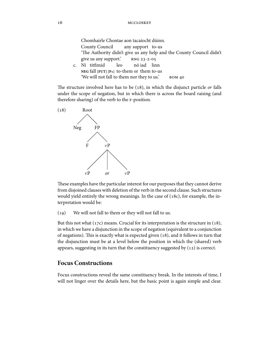| Chomhairle Chontae aon tacaíocht dúinn.                              |
|----------------------------------------------------------------------|
| County Council any support to-us                                     |
| 'The Authority didn't give us any help and the County Council didn't |
| give us any support.' RNG 23-2-05                                    |
| c. Ní titfimid leo nóiad linn                                        |
| NEG fall $[$ $FUT$ $]$ $[$ $P_1$ $]$ to-them or them to-us           |
| 'We will not fall to them nor they to us.'<br><b>BOM 40</b>          |

The structure involved here has to be  $(18)$ , in which the disjunct particle or falls under the scope of negation, but in which there is across the board raising (and therefore sharing) of the verb to the F-position.



These examples have the particular interest for our purposes that they cannot derive from disjoined clauses with deletion of the verb in the second clause. Such structures would yield entirely the wrong meanings. In the case of  $(18c)$ , for example, the interpretation would be:

(19) We will not fall to them or they will not fall to us.

But this not what  $(17c)$  means. Crucial for its interpretation is the structure in  $(18)$ , in which we have a disjunction in the scope of negation (equivalent to a conjunction of negations). This is exactly what is expected given  $(18)$ , and it follows in turn that the disjunction must be at a level below the position in which the (shared) verb appears, suggesting in its turn that the constituency suggested by  $(12)$  is correct.

# **Focus Constructions**

Focus constructions reveal the same constituency break. In the interests of time, I will not linger over the details here, but the basic point is again simple and clear.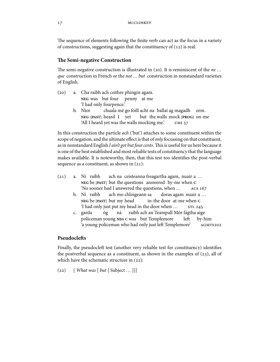The sequence of elements following the finite verb can act as the focus in a variety of constructions, suggesting again that the constituency of  $(12)$  is real.

#### **The Semi-negative Construction**

The semi-negative construction is illustrated in (20). It is reminiscent of the *ne* ... que construction in French or the not ... but construction in nonstandard varieties of English.

- (20) a. Cha raibh ach ceithre phingin agam. **NEG** was but four penny at-me 'I had only fourpence.'
	- b. Níor **NEG**-**[PAST]** heard I yet chuala mé go fóill acht na ballaí ag magadh orm. but the walls mock **[PROG]** on-me 'All I heard yet was the walls mocking me.'

In this construction the particle ach ('but') attaches to some constituent within the scope of negation, and the ultimate effect is that of *only* focussing on that constituent, as in nonstandard English I ain't got but four cents. This is useful for us here because it is one of the best established and most reliable tests of constituency that the language makes available. It is noteworthy, then, that this test too identifies the post-verbal sequence as a constituent, as shown in  $(21)$ :

- (21) a. Ní raibh **NEG** be **[PAST]** but the questions answered by-me when **C** ach na ceisteanna freagartha agam, nuair a … 'No sooner had I answered the questions, when …
	- b. Ní raibh **NEG** be **[PAST]** but my head ach mo chloigeann sa in-the door at-me when **C** doras agam nuair a … 'I had only just put my head in the door when …
	- c. garda policeman young **NEG C** was but Templemore óg ná raibh ach an Teampall Mór fágtha aige le by-him 'a young policeman who had only just le
	 Templemore'

#### **Pseudocle
s**

Finally, the pseudocleft test (another very reliable test for constituency) identifies the postverbal sequence as a constituent, as shown in the examples of  $(23)$ , all of which have the schematic structure in  $(22)$ :

 $(22)$  [ What was [ but [ Subject ... ]]]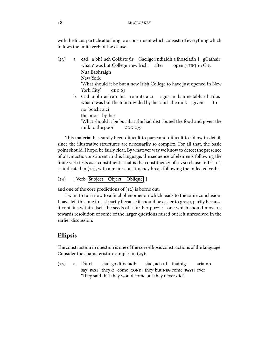with the focus particle attaching to a constituent which consists of everything which follows the finite verb of the clause.

- (23) a. cad a bhí ach Coláiste úr Gaeilge i ndiaidh a fhoscladh i gCathair what c was but College new Irish after open **[**−**FIN]** in City Nua Eabhraigh New York 'What should it be but a new Irish College to have just opened in New York City. CDC 63
	- b. Cad a bhí ach an bia roinnte aici what c was but the food divided by-her and the milk given agus an bainne tabhartha dos to na boicht aici

the poor by-her

'What should it be but that she had distributed the food and given the milk to the poor' GOG 279

This material has surely been difficult to parse and difficult to follow in detail, since the illustrative structures are necessarily so complex. For all that, the basic point should, I hope, be fairly clear. By whatever way we know to detect the presence of a syntactic constituent in this language, the sequence of elements following the finite verb tests as a constituent. That is the constituency of a vso clause in Irish is as indicated in  $(24)$ , with a major constituency break following the inflected verb:

(24) [ Verb Subject Object Oblique ]

and one of the core predictions of  $(12)$  is borne out.

I want to turn now to a final phenomenon which leads to the same conclusion. I have left this one to last partly because it should be easier to grasp, partly because it contains within itself the seeds of a further puzzle—one which should move us towards resolution of some of the larger questions raised but left unresolved in the earlier discussion.

# **Ellipsis**

The construction in question is one of the core ellipsis constructions of the language. Consider the characteristic examples in  $(25)$ :

 $(25)$  a. Dúirt say **[PAST]** they **C** come **[COND]** they but **NEG** come **[PAST]** ever siad go dtiocfadh siad, ach ní tháinig ariamh. 'They said that they would come but they never did.'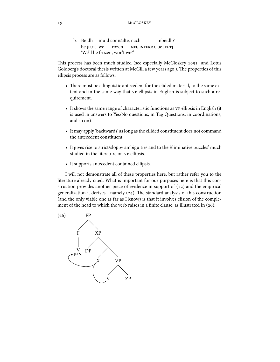b. Beidh muid connáilte, nach be **[FUT]** we frozen **NEG INTERR C** be **[FUT]** mbeidh? 'We'll be frozen, won't we?'

This process has been much studied (see especially McCloskey 1991 and Lotus Goldberg's doctoral thesis written at McGill a few years ago). The properties of this ellipsis process are as follows:

- There must be a linguistic antecedent for the elided material, to the same extent and in the same way that vp ellipsis in English is subject to such a requirement.
- It shows the same range of characteristic functions as vp ellipsis in English (it is used in answers to Yes/No questions, in Tag Questions, in coordinations, and so on).
- It may apply 'backwards' as long as the ellided constituent does not command the antecedent constituent
- It gives rise to strict/sloppy ambiguities and to the 'eliminative puzzles' much studied in the literature on vp ellipsis.
- It supports antecedent contained ellipsis.

I will not demonstrate all of these properties here, but rather refer you to the literature already cited. What is important for our purposes here is that this construction provides another piece of evidence in support of  $(12)$  and the empirical generalization it derives—namely  $(24)$ . The standard analysis of this construction (and the only viable one as far as I know) is that it involves elision of the complement of the head to which the verb raises in a finite clause, as illustrated in  $(26)$ :

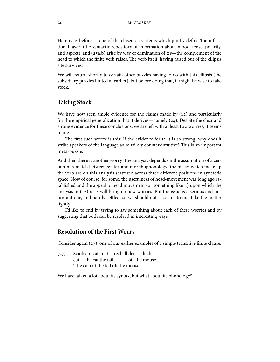Here  $F$ , as before, is one of the closed-class items which jointly define 'the inflectional layer' (the syntactic repository of information about mood, tense, polarity, and aspect), and  $(25a,b)$  arise by way of elimination of  $xp$ —the complement of the head to which the finite verb raises. The verb itself, having raised out of the ellipsis site survives.

We will return shortly to certain other puzzles having to do with this ellipsis (the subsidiary puzzles hinted at earlier), but before doing that, it might be wise to take stock.

## **Taking Stock**

We have now seen ample evidence for the claims made by  $(12)$  and particularly for the empirical generalization that it derives—namely  $(24)$ . Despite the clear and strong evidence for these conclusions, we are left with at least two worries, it seems to me.

The first such worry is this: If the evidence for  $(24)$  is so strong, why does it strike speakers of the language as so wildly counter-intuitive? This is an important meta-puzzle.

And then there is another worry. The analysis depends on the assumption of a certain mis-match between syntax and morphophonology: the pieces which make up the verb are on this analysis scattered across three different positions in syntactic space. Now of course, for some, the usefulness of head-movement was long ago established and the appeal to head movement (or something like it) upon which the analysis in  $(12)$  rests will bring no new worries. But the issue is a serious and important one, and hardly settled, so we should not, it seems to me, take the matter lightly.

I'd like to end by trying to say something about each of these worries and by suggesting that both can be resolved in interesting ways.

# **Resolution of the First Worry**

Consider again  $(z_7)$ , one of our earlier examples of a simple transitive finite clause.

(27) Sciob an cat an t-eireaball den cut the cat the tail off-the mouse luch. 'The cat cut the tail off the mouse.'

We have talked a lot about its syntax, but what about its phonology?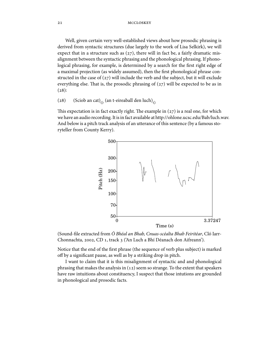Well, given certain very well-established views about how prosodic phrasing is derived from syntactic structures (due largely to the work of Lisa Selkirk), we will expect that in a structure such as  $(27)$ , there will in fact be, a fairly dramatic misalignment between the syntactic phrasing and the phonological phrasing. If phonological phrasing, for example, is determined by a search for the first right edge of a maximal projection (as widely assumed), then the first phonological phrase constructed in the case of  $(27)$  will include the verb and the subject, but it will exclude everything else. That is, the prosodic phrasing of  $(27)$  will be expected to be as in  $(28):$ 

(28) (Sciob an cat)<sub> $\phi$ </sub> (an t-eireaball den luch)<sub> $\phi$ </sub>

This expectation is in fact exactly right. The example in  $(z)$  is a real one, for which we have an audio recording. It is in fact available at http://ohlone.ucsc.edu/Bab/luch.wav. And below is a pitch track analysis of an utterance of this sentence (by a famous storyteller from County Kerry).



(Sound-file extracted from Ó Bhéal an Bhab, Cnuas-scéalta Bhab Feiritéar, Cló Iarr-Chonnachta, 2002, CD 1, track 3 ('An Luch a Bhí Déanach don Aifreann').

Notice that the end of the first phrase (the sequence of verb plus subject) is marked off by a significant pause, as well as by a striking drop in pitch.

I want to claim that it is this misalignment of syntactic and and phonological phrasing that makes the analysis in  $(12)$  seem so strange. To the extent that speakers have raw intuitions about constituency, I suspect that those intutions are grounded in phonological and prosodic facts.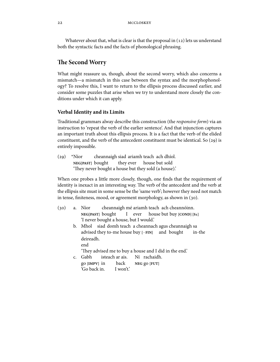Whatever about that, what is clear is that the proposal in  $(12)$  lets us understand both the syntactic facts and the facts of phonological phrasing.

# **The Second Worry**

What might reassure us, though, about the second worry, which also concerns a mismatch—a mismatch in this case between the syntax and the morphophonology? To resolve this, I want to return to the ellipsis process discussed earlier, and consider some puzzles that arise when we try to understand more closely the conditions under which it can apply.

#### **Verbal Identity and its Limits**

Traditional grammars alway describe this construction (the responsive form) via an instruction to 'repeat the verb of the earlier sentence'. And that injunction captures an important truth about this ellipsis process. It is a fact that the verb of the elided constituent, and the verb of the antecedent constituent must be identical. So  $(29)$  is entirely impossible.

 $(29)$  \*Níor **NEG[PAST]** bought cheannaigh siad ariamh teach ach dhíol. they ever house but sold 'They never bought a house but they sold (a house).'

'Go back in. I won't.'

When one probes a little more closely, though, one finds that the requirement of identity is inexact in an interesting way. The verb of the antecedent and the verb at the ellipsis site must in some sense be the 'same verb'; however they need not match in tense, finiteness, mood, or agreement morphology, as shown in (30).

| (30) | a. Níor cheannaigh mé ariamh teach ach cheannóinn.                 |
|------|--------------------------------------------------------------------|
|      | $NEG[PAST]$ bought I ever house but buy $[COND]$ [S <sub>1</sub> ] |
|      | 'I never bought a house, but I would.'                             |
|      | b. Mhol siad domh teach a cheannach agus cheannaigh sa             |
|      | advised they to-me house buy [-FIN] and bought in-the              |
|      | deireadh.                                                          |
|      | end                                                                |
|      | 'They advised me to buy a house and I did in the end.'             |
|      | c. Gabh isteach ar ais. Ní rachaidh.                               |
|      | go [IMPV] in back NEG go [FUT]                                     |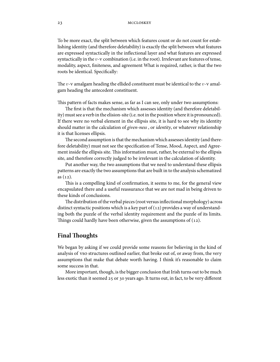To be more exact, the split between which features count or do not count for establishing identity (and therefore deletability) is exactly the split between what features are expressed syntactically in the inflectional layer and what features are expressed syntactically in the  $v$ -v combination (i.e. in the root). Irrelevant are features of tense, modality, aspect, finiteness, and agreement What is required, rather, is that the two roots be identical. Specifically:

The  $v$ -v amalgam heading the ellided constituent must be identical to the  $v$ -v amalgam heading the antecedent constituent.

This pattern of facts makes sense, as far as I can see, only under two assumptions:

The first is that the mechanism which assesses identity (and therefore deletability) must see a verb in the elision-site (i.e. not in the position where it is pronounced). If there were no verbal element in the ellipsis site, it is hard to see why its identity should matter in the calculation of given-ness , or identity, or whatever relationship it is that licenses ellipsis.

The second assumption is that the mechanism which assesses identity (and therefore deletability) must not see the specification of Tense, Mood, Aspect, and Agreement inside the ellipsis site. This information must, rather, be external to the ellipsis site, and therefore correctly judged to be irrelevant in the calculation of identity.

Put another way, the two assumptions that we need to understand these ellipsis patterns are exactly the two assumptions that are built in to the analysis schematized as  $(12)$ .

This is a compelling kind of confirmation, it seems to me, for the general view encapsulated there and a useful reassurance that we are not mad in being driven to these kinds of conclusions.

The distribution of the verbal pieces (root versus inflectional morphology) across distinct syntactic positions which is a key part of  $(12)$  provides a way of understanding both the puzzle of the verbal identity requirement and the puzzle of its limits. Things could hardly have been otherwise, given the assumptions of  $(12)$ .

# **Final Thoughts**

We began by asking if we could provide some reasons for believing in the kind of analysis of vso structures outlined earlier, that broke out of, or away from, the very assumptions that make that debate worth having. I think it's reasonable to claim some success in that.

More important, though, is the bigger conclusion that Irish turns out to be much less exotic than it seemed  $25$  or  $30$  years ago. It turns out, in fact, to be very different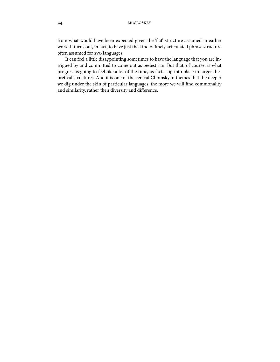from what would have been expected given the 'flat' structure assumed in earlier work. It turns out, in fact, to have just the kind of finely articulated phrase structure often assumed for svo languages.

It can feel a little disappointing sometimes to have the language that you are intrigued by and committed to come out as pedestrian. But that, of course, is what progress is going to feel like a lot of the time, as facts slip into place in larger theoretical structures. And it is one of the central Chomskyan themes that the deeper we dig under the skin of particular languages, the more we will find commonality and similarity, rather then diversity and difference.